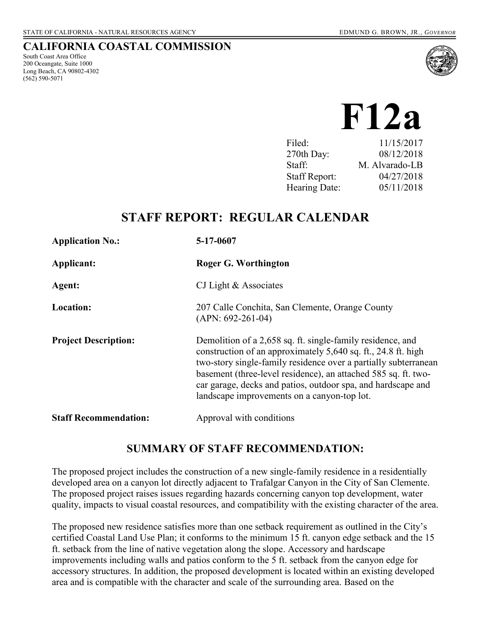#### **CALIFORNIA COASTAL COMMISSION**

South Coast Area Office 200 Oceangate, Suite 1000 Long Beach, CA 90802-4302 (562) 590-5071



**F12a** 

| Filed:               | 11/15/2017     |
|----------------------|----------------|
| 270th Day:           | 08/12/2018     |
| Staff:               | M. Alvarado-LB |
| <b>Staff Report:</b> | 04/27/2018     |
| Hearing Date:        | 05/11/2018     |

# **STAFF REPORT: REGULAR CALENDAR**

| <b>Application No.:</b>      | 5-17-0607                                                                                                                                                                                                                                                                                                                                                                       |
|------------------------------|---------------------------------------------------------------------------------------------------------------------------------------------------------------------------------------------------------------------------------------------------------------------------------------------------------------------------------------------------------------------------------|
| Applicant:                   | Roger G. Worthington                                                                                                                                                                                                                                                                                                                                                            |
| Agent:                       | CJ Light $&$ Associates                                                                                                                                                                                                                                                                                                                                                         |
| <b>Location:</b>             | 207 Calle Conchita, San Clemente, Orange County<br>$(APN: 692-261-04)$                                                                                                                                                                                                                                                                                                          |
| <b>Project Description:</b>  | Demolition of a 2,658 sq. ft. single-family residence, and<br>construction of an approximately 5,640 sq. ft., 24.8 ft. high<br>two-story single-family residence over a partially subterranean<br>basement (three-level residence), an attached 585 sq. ft. two-<br>car garage, decks and patios, outdoor spa, and hardscape and<br>landscape improvements on a canyon-top lot. |
| <b>Staff Recommendation:</b> | Approval with conditions                                                                                                                                                                                                                                                                                                                                                        |

### **SUMMARY OF STAFF RECOMMENDATION:**

The proposed project includes the construction of a new single-family residence in a residentially developed area on a canyon lot directly adjacent to Trafalgar Canyon in the City of San Clemente. The proposed project raises issues regarding hazards concerning canyon top development, water quality, impacts to visual coastal resources, and compatibility with the existing character of the area.

The proposed new residence satisfies more than one setback requirement as outlined in the City's certified Coastal Land Use Plan; it conforms to the minimum 15 ft. canyon edge setback and the 15 ft. setback from the line of native vegetation along the slope. Accessory and hardscape improvements including walls and patios conform to the 5 ft. setback from the canyon edge for accessory structures. In addition, the proposed development is located within an existing developed area and is compatible with the character and scale of the surrounding area. Based on the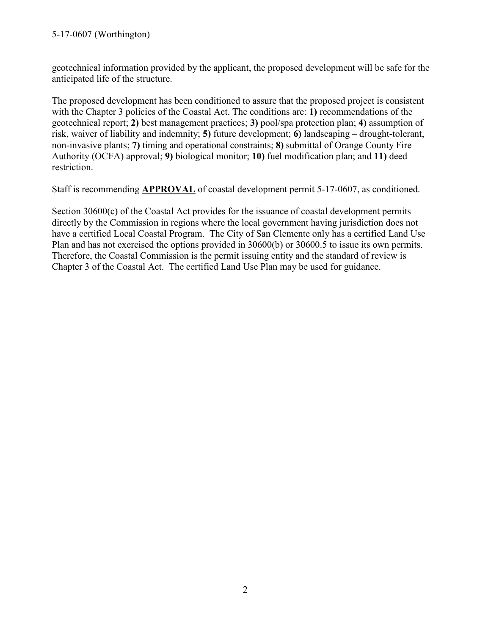#### 5-17-0607 (Worthington)

geotechnical information provided by the applicant, the proposed development will be safe for the anticipated life of the structure.

The proposed development has been conditioned to assure that the proposed project is consistent with the Chapter 3 policies of the Coastal Act. The conditions are: **1)** recommendations of the geotechnical report; **2)** best management practices; **3)** pool/spa protection plan; **4)** assumption of risk, waiver of liability and indemnity; **5)** future development; **6)** landscaping – drought-tolerant, non-invasive plants; **7)** timing and operational constraints; **8)** submittal of Orange County Fire Authority (OCFA) approval; **9)** biological monitor; **10)** fuel modification plan; and **11)** deed restriction.

Staff is recommending **APPROVAL** of coastal development permit 5-17-0607, as conditioned.

Section 30600(c) of the Coastal Act provides for the issuance of coastal development permits directly by the Commission in regions where the local government having jurisdiction does not have a certified Local Coastal Program. The City of San Clemente only has a certified Land Use Plan and has not exercised the options provided in 30600(b) or 30600.5 to issue its own permits. Therefore, the Coastal Commission is the permit issuing entity and the standard of review is Chapter 3 of the Coastal Act. The certified Land Use Plan may be used for guidance.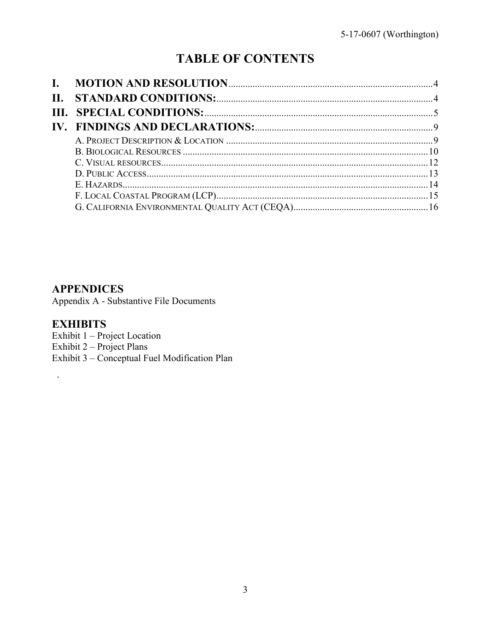# **TABLE OF CONTENTS**

| П. |  |
|----|--|
|    |  |
|    |  |
|    |  |
|    |  |
|    |  |
|    |  |
|    |  |
|    |  |
|    |  |

### **APPENDICES**

Appendix A - Substantive File Documents

# **EXHIBITS**

 $\bar{\mathbf{v}}$ 

Exhibit 1 - Project Location Exhibit  $2$  – Project Plans Exhibit 3 - Conceptual Fuel Modification Plan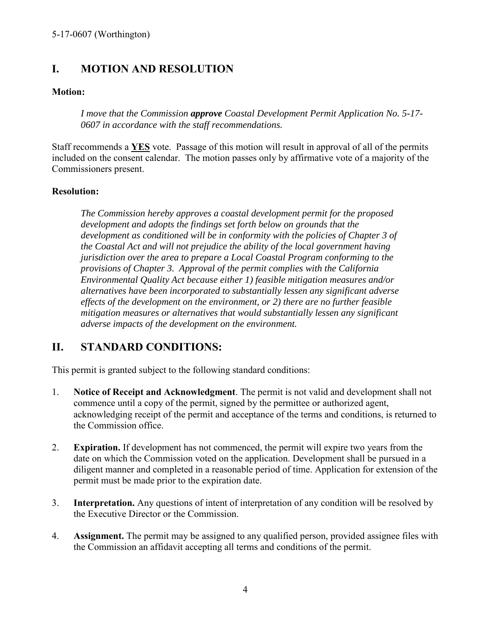# <span id="page-3-0"></span>**I. MOTION AND RESOLUTION**

#### **Motion:**

*I move that the Commission approve Coastal Development Permit Application No. 5-17- 0607 in accordance with the staff recommendations.* 

Staff recommends a **YES** vote. Passage of this motion will result in approval of all of the permits included on the consent calendar. The motion passes only by affirmative vote of a majority of the Commissioners present.

#### **Resolution:**

*The Commission hereby approves a coastal development permit for the proposed development and adopts the findings set forth below on grounds that the development as conditioned will be in conformity with the policies of Chapter 3 of the Coastal Act and will not prejudice the ability of the local government having jurisdiction over the area to prepare a Local Coastal Program conforming to the provisions of Chapter 3. Approval of the permit complies with the California Environmental Quality Act because either 1) feasible mitigation measures and/or alternatives have been incorporated to substantially lessen any significant adverse effects of the development on the environment, or 2) there are no further feasible mitigation measures or alternatives that would substantially lessen any significant adverse impacts of the development on the environment.* 

# <span id="page-3-1"></span>**II. STANDARD CONDITIONS:**

This permit is granted subject to the following standard conditions:

- 1. **Notice of Receipt and Acknowledgment**. The permit is not valid and development shall not commence until a copy of the permit, signed by the permittee or authorized agent, acknowledging receipt of the permit and acceptance of the terms and conditions, is returned to the Commission office.
- 2. **Expiration.** If development has not commenced, the permit will expire two years from the date on which the Commission voted on the application. Development shall be pursued in a diligent manner and completed in a reasonable period of time. Application for extension of the permit must be made prior to the expiration date.
- 3. **Interpretation.** Any questions of intent of interpretation of any condition will be resolved by the Executive Director or the Commission.
- 4. **Assignment.** The permit may be assigned to any qualified person, provided assignee files with the Commission an affidavit accepting all terms and conditions of the permit.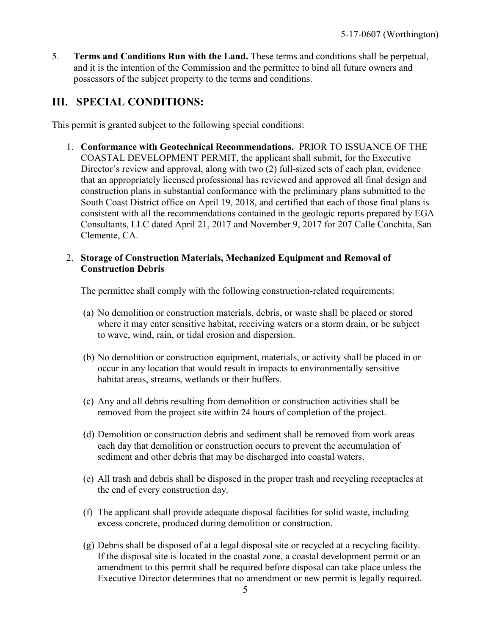5. **Terms and Conditions Run with the Land.** These terms and conditions shall be perpetual, and it is the intention of the Commission and the permittee to bind all future owners and possessors of the subject property to the terms and conditions.

# <span id="page-4-0"></span>**III. SPECIAL CONDITIONS:**

This permit is granted subject to the following special conditions:

1. **Conformance with Geotechnical Recommendations.** PRIOR TO ISSUANCE OF THE COASTAL DEVELOPMENT PERMIT, the applicant shall submit, for the Executive Director's review and approval, along with two (2) full-sized sets of each plan, evidence that an appropriately licensed professional has reviewed and approved all final design and construction plans in substantial conformance with the preliminary plans submitted to the South Coast District office on April 19, 2018, and certified that each of those final plans is consistent with all the recommendations contained in the geologic reports prepared by EGA Consultants, LLC dated April 21, 2017 and November 9, 2017 for 207 Calle Conchita, San Clemente, CA.

#### 2. **Storage of Construction Materials, Mechanized Equipment and Removal of Construction Debris**

The permittee shall comply with the following construction-related requirements:

- (a) No demolition or construction materials, debris, or waste shall be placed or stored where it may enter sensitive habitat, receiving waters or a storm drain, or be subject to wave, wind, rain, or tidal erosion and dispersion.
- (b) No demolition or construction equipment, materials, or activity shall be placed in or occur in any location that would result in impacts to environmentally sensitive habitat areas, streams, wetlands or their buffers.
- (c) Any and all debris resulting from demolition or construction activities shall be removed from the project site within 24 hours of completion of the project.
- (d) Demolition or construction debris and sediment shall be removed from work areas each day that demolition or construction occurs to prevent the accumulation of sediment and other debris that may be discharged into coastal waters.
- (e) All trash and debris shall be disposed in the proper trash and recycling receptacles at the end of every construction day.
- (f) The applicant shall provide adequate disposal facilities for solid waste, including excess concrete, produced during demolition or construction.
- (g) Debris shall be disposed of at a legal disposal site or recycled at a recycling facility. If the disposal site is located in the coastal zone, a coastal development permit or an amendment to this permit shall be required before disposal can take place unless the Executive Director determines that no amendment or new permit is legally required.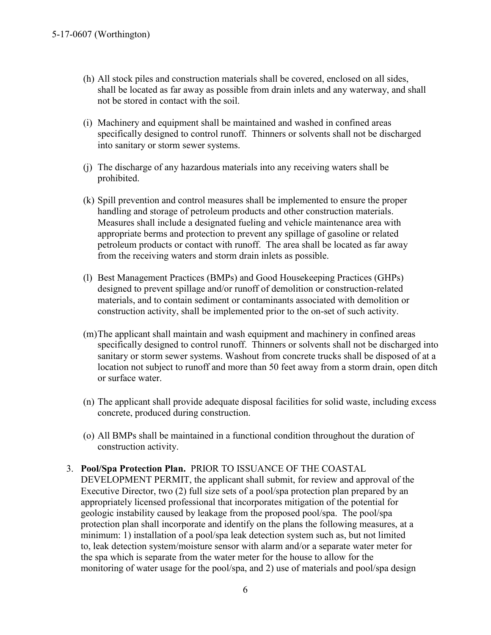- (h) All stock piles and construction materials shall be covered, enclosed on all sides, shall be located as far away as possible from drain inlets and any waterway, and shall not be stored in contact with the soil.
- (i) Machinery and equipment shall be maintained and washed in confined areas specifically designed to control runoff. Thinners or solvents shall not be discharged into sanitary or storm sewer systems.
- (j) The discharge of any hazardous materials into any receiving waters shall be prohibited.
- (k) Spill prevention and control measures shall be implemented to ensure the proper handling and storage of petroleum products and other construction materials. Measures shall include a designated fueling and vehicle maintenance area with appropriate berms and protection to prevent any spillage of gasoline or related petroleum products or contact with runoff. The area shall be located as far away from the receiving waters and storm drain inlets as possible.
- (l) Best Management Practices (BMPs) and Good Housekeeping Practices (GHPs) designed to prevent spillage and/or runoff of demolition or construction-related materials, and to contain sediment or contaminants associated with demolition or construction activity, shall be implemented prior to the on-set of such activity.
- (m) The applicant shall maintain and wash equipment and machinery in confined areas specifically designed to control runoff. Thinners or solvents shall not be discharged into sanitary or storm sewer systems. Washout from concrete trucks shall be disposed of at a location not subject to runoff and more than 50 feet away from a storm drain, open ditch or surface water.
- (n) The applicant shall provide adequate disposal facilities for solid waste, including excess concrete, produced during construction.
- (o) All BMPs shall be maintained in a functional condition throughout the duration of construction activity.
- 3. **Pool/Spa Protection Plan.** PRIOR TO ISSUANCE OF THE COASTAL DEVELOPMENT PERMIT, the applicant shall submit, for review and approval of the Executive Director, two (2) full size sets of a pool/spa protection plan prepared by an appropriately licensed professional that incorporates mitigation of the potential for geologic instability caused by leakage from the proposed pool/spa. The pool/spa protection plan shall incorporate and identify on the plans the following measures, at a minimum: 1) installation of a pool/spa leak detection system such as, but not limited to, leak detection system/moisture sensor with alarm and/or a separate water meter for the spa which is separate from the water meter for the house to allow for the monitoring of water usage for the pool/spa, and 2) use of materials and pool/spa design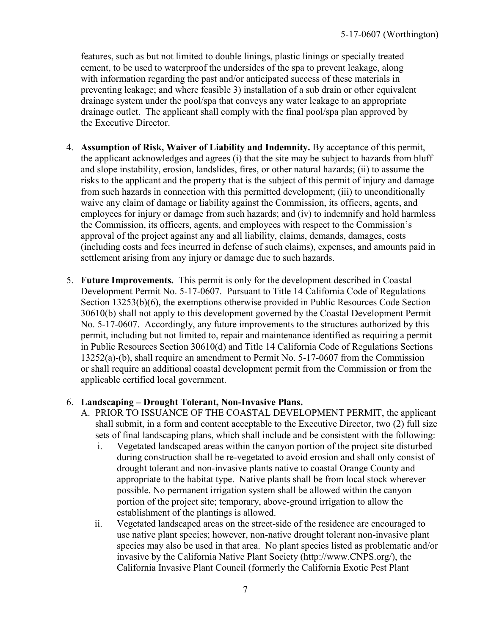features, such as but not limited to double linings, plastic linings or specially treated cement, to be used to waterproof the undersides of the spa to prevent leakage, along with information regarding the past and/or anticipated success of these materials in preventing leakage; and where feasible 3) installation of a sub drain or other equivalent drainage system under the pool/spa that conveys any water leakage to an appropriate drainage outlet. The applicant shall comply with the final pool/spa plan approved by the Executive Director.

- 4. **Assumption of Risk, Waiver of Liability and Indemnity.** By acceptance of this permit, the applicant acknowledges and agrees (i) that the site may be subject to hazards from bluff and slope instability, erosion, landslides, fires, or other natural hazards; (ii) to assume the risks to the applicant and the property that is the subject of this permit of injury and damage from such hazards in connection with this permitted development; (iii) to unconditionally waive any claim of damage or liability against the Commission, its officers, agents, and employees for injury or damage from such hazards; and (iv) to indemnify and hold harmless the Commission, its officers, agents, and employees with respect to the Commission's approval of the project against any and all liability, claims, demands, damages, costs (including costs and fees incurred in defense of such claims), expenses, and amounts paid in settlement arising from any injury or damage due to such hazards.
- 5. **Future Improvements.** This permit is only for the development described in Coastal Development Permit No. 5-17-0607. Pursuant to Title 14 California Code of Regulations Section 13253(b)(6), the exemptions otherwise provided in Public Resources Code Section 30610(b) shall not apply to this development governed by the Coastal Development Permit No. 5-17-0607. Accordingly, any future improvements to the structures authorized by this permit, including but not limited to, repair and maintenance identified as requiring a permit in Public Resources Section 30610(d) and Title 14 California Code of Regulations Sections 13252(a)-(b), shall require an amendment to Permit No. 5-17-0607 from the Commission or shall require an additional coastal development permit from the Commission or from the applicable certified local government.

#### 6. **Landscaping – Drought Tolerant, Non-Invasive Plans.**

- A. PRIOR TO ISSUANCE OF THE COASTAL DEVELOPMENT PERMIT, the applicant shall submit, in a form and content acceptable to the Executive Director, two (2) full size sets of final landscaping plans, which shall include and be consistent with the following:
	- i. Vegetated landscaped areas within the canyon portion of the project site disturbed during construction shall be re-vegetated to avoid erosion and shall only consist of drought tolerant and non-invasive plants native to coastal Orange County and appropriate to the habitat type. Native plants shall be from local stock wherever possible. No permanent irrigation system shall be allowed within the canyon portion of the project site; temporary, above-ground irrigation to allow the establishment of the plantings is allowed.
	- ii. Vegetated landscaped areas on the street-side of the residence are encouraged to use native plant species; however, non-native drought tolerant non-invasive plant species may also be used in that area. No plant species listed as problematic and/or invasive by the California Native Plant Society (http://www.CNPS.org/), the California Invasive Plant Council (formerly the California Exotic Pest Plant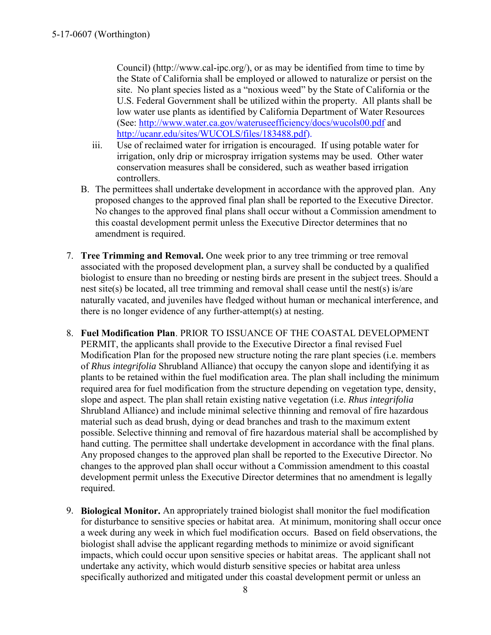Council) (http://www.cal-ipc.org/), or as may be identified from time to time by the State of California shall be employed or allowed to naturalize or persist on the site. No plant species listed as a "noxious weed" by the State of California or the U.S. Federal Government shall be utilized within the property. All plants shall be low water use plants as identified by California Department of Water Resources (See:<http://www.water.ca.gov/wateruseefficiency/docs/wucols00.pdf> and [http://ucanr.edu/sites/WUCOLS/files/183488.pdf\)](http://ucanr.edu/sites/WUCOLS/files/183488.pdf).

- iii. Use of reclaimed water for irrigation is encouraged. If using potable water for irrigation, only drip or microspray irrigation systems may be used. Other water conservation measures shall be considered, such as weather based irrigation controllers.
- B. The permittees shall undertake development in accordance with the approved plan. Any proposed changes to the approved final plan shall be reported to the Executive Director. No changes to the approved final plans shall occur without a Commission amendment to this coastal development permit unless the Executive Director determines that no amendment is required.
- 7. **Tree Trimming and Removal.** One week prior to any tree trimming or tree removal associated with the proposed development plan, a survey shall be conducted by a qualified biologist to ensure than no breeding or nesting birds are present in the subject trees. Should a nest site(s) be located, all tree trimming and removal shall cease until the nest(s) is/are naturally vacated, and juveniles have fledged without human or mechanical interference, and there is no longer evidence of any further-attempt(s) at nesting.
- 8. **Fuel Modification Plan**. PRIOR TO ISSUANCE OF THE COASTAL DEVELOPMENT PERMIT, the applicants shall provide to the Executive Director a final revised Fuel Modification Plan for the proposed new structure noting the rare plant species (i.e. members of *Rhus integrifolia* Shrubland Alliance) that occupy the canyon slope and identifying it as plants to be retained within the fuel modification area. The plan shall including the minimum required area for fuel modification from the structure depending on vegetation type, density, slope and aspect. The plan shall retain existing native vegetation (i.e. *Rhus integrifolia*  Shrubland Alliance) and include minimal selective thinning and removal of fire hazardous material such as dead brush, dying or dead branches and trash to the maximum extent possible. Selective thinning and removal of fire hazardous material shall be accomplished by hand cutting. The permittee shall undertake development in accordance with the final plans. Any proposed changes to the approved plan shall be reported to the Executive Director. No changes to the approved plan shall occur without a Commission amendment to this coastal development permit unless the Executive Director determines that no amendment is legally required.
- 9. **Biological Monitor.** An appropriately trained biologist shall monitor the fuel modification for disturbance to sensitive species or habitat area. At minimum, monitoring shall occur once a week during any week in which fuel modification occurs. Based on field observations, the biologist shall advise the applicant regarding methods to minimize or avoid significant impacts, which could occur upon sensitive species or habitat areas. The applicant shall not undertake any activity, which would disturb sensitive species or habitat area unless specifically authorized and mitigated under this coastal development permit or unless an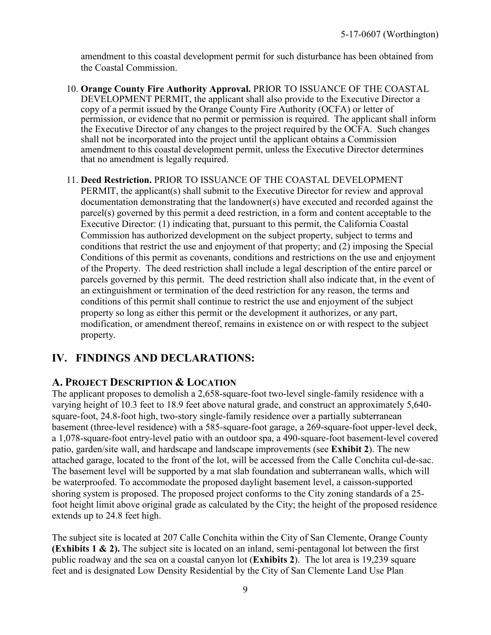amendment to this coastal development permit for such disturbance has been obtained from the Coastal Commission.

- 10. **Orange County Fire Authority Approval.** PRIOR TO ISSUANCE OF THE COASTAL DEVELOPMENT PERMIT, the applicant shall also provide to the Executive Director a copy of a permit issued by the Orange County Fire Authority (OCFA) or letter of permission, or evidence that no permit or permission is required. The applicant shall inform the Executive Director of any changes to the project required by the OCFA. Such changes shall not be incorporated into the project until the applicant obtains a Commission amendment to this coastal development permit, unless the Executive Director determines that no amendment is legally required.
- 11. **Deed Restriction.** PRIOR TO ISSUANCE OF THE COASTAL DEVELOPMENT PERMIT, the applicant(s) shall submit to the Executive Director for review and approval documentation demonstrating that the landowner(s) have executed and recorded against the parcel(s) governed by this permit a deed restriction, in a form and content acceptable to the Executive Director: (1) indicating that, pursuant to this permit, the California Coastal Commission has authorized development on the subject property, subject to terms and conditions that restrict the use and enjoyment of that property; and (2) imposing the Special Conditions of this permit as covenants, conditions and restrictions on the use and enjoyment of the Property. The deed restriction shall include a legal description of the entire parcel or parcels governed by this permit. The deed restriction shall also indicate that, in the event of an extinguishment or termination of the deed restriction for any reason, the terms and conditions of this permit shall continue to restrict the use and enjoyment of the subject property so long as either this permit or the development it authorizes, or any part, modification, or amendment thereof, remains in existence on or with respect to the subject property.

# <span id="page-8-0"></span>**IV. FINDINGS AND DECLARATIONS:**

### <span id="page-8-1"></span>**A. PROJECT DESCRIPTION & LOCATION**

The applicant proposes to demolish a 2,658-square-foot two-level single-family residence with a varying height of 10.3 feet to 18.9 feet above natural grade, and construct an approximately 5,640 square-foot, 24.8-foot high, two-story single-family residence over a partially subterranean basement (three-level residence) with a 585-square-foot garage, a 269-square-foot upper-level deck, a 1,078-square-foot entry-level patio with an outdoor spa, a 490-square-foot basement-level covered patio, garden/site wall, and hardscape and landscape improvements (see **[Exhibit 2](https://documents.coastal.ca.gov/reports/2018/5/f12a/f12a-5-2018-exhibits.pdf)**). The new attached garage, located to the front of the lot, will be accessed from the Calle Conchita cul-de-sac. The basement level will be supported by a mat slab foundation and subterranean walls, which will be waterproofed. To accommodate the proposed daylight basement level, a caisson-supported shoring system is proposed. The proposed project conforms to the City zoning standards of a 25 foot height limit above original grade as calculated by the City; the height of the proposed residence extends up to 24.8 feet high.

The subject site is located at 207 Calle Conchita within the City of San Clemente, Orange County **[\(Exhibits 1 & 2\).](https://documents.coastal.ca.gov/reports/2018/5/f12a/f12a-5-2018-exhibits.pdf)** The subject site is located on an inland, semi-pentagonal lot between the first public roadway and the sea on a coastal canyon lot (**[Exhibits 2](https://documents.coastal.ca.gov/reports/2018/5/f12a/f12a-5-2018-exhibits.pdf)**). The lot area is 19,239 square feet and is designated Low Density Residential by the City of San Clemente Land Use Plan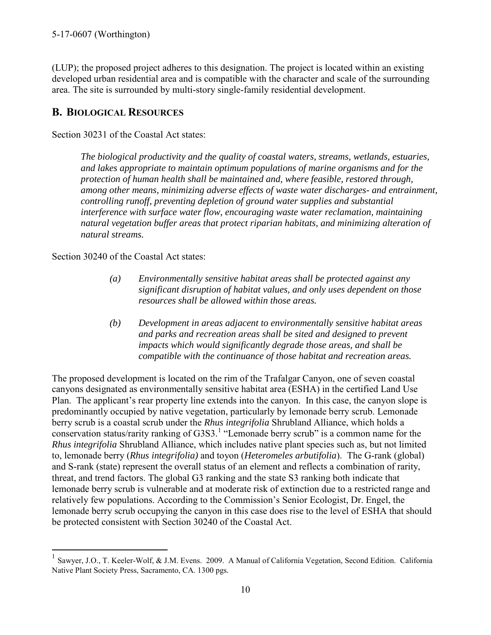(LUP); the proposed project adheres to this designation. The project is located within an existing developed urban residential area and is compatible with the character and scale of the surrounding area. The site is surrounded by multi-story single-family residential development.

# <span id="page-9-0"></span>**B. BIOLOGICAL RESOURCES**

Section 30231 of the Coastal Act states:

*The biological productivity and the quality of coastal waters, streams, wetlands, estuaries, and lakes appropriate to maintain optimum populations of marine organisms and for the protection of human health shall be maintained and, where feasible, restored through, among other means, minimizing adverse effects of waste water discharges- and entrainment, controlling runoff, preventing depletion of ground water supplies and substantial interference with surface water flow, encouraging waste water reclamation, maintaining natural vegetation buffer areas that protect riparian habitats, and minimizing alteration of natural streams.* 

Section 30240 of the Coastal Act states:

 $\overline{a}$ 

- *(a) Environmentally sensitive habitat areas shall be protected against any significant disruption of habitat values, and only uses dependent on those resources shall be allowed within those areas.*
- *(b) Development in areas adjacent to environmentally sensitive habitat areas and parks and recreation areas shall be sited and designed to prevent impacts which would significantly degrade those areas, and shall be compatible with the continuance of those habitat and recreation areas.*

The proposed development is located on the rim of the Trafalgar Canyon, one of seven coastal canyons designated as environmentally sensitive habitat area (ESHA) in the certified Land Use Plan. The applicant's rear property line extends into the canyon. In this case, the canyon slope is predominantly occupied by native vegetation, particularly by lemonade berry scrub. Lemonade berry scrub is a coastal scrub under the *Rhus integrifolia* Shrubland Alliance, which holds a conservation status/rarity ranking of G3S3.<sup>1</sup> "Lemonade berry scrub" is a common name for the *Rhus integrifolia* Shrubland Alliance, which includes native plant species such as, but not limited to, lemonade berry (*Rhus integrifolia)* and toyon (*Heteromeles arbutifolia*). The G-rank (global) and S-rank (state) represent the overall status of an element and reflects a combination of rarity, threat, and trend factors. The global G3 ranking and the state S3 ranking both indicate that lemonade berry scrub is vulnerable and at moderate risk of extinction due to a restricted range and relatively few populations. According to the Commission's Senior Ecologist, Dr. Engel, the lemonade berry scrub occupying the canyon in this case does rise to the level of ESHA that should be protected consistent with Section 30240 of the Coastal Act.

<sup>1</sup> Sawyer, J.O., T. Keeler-Wolf, & J.M. Evens. 2009. A Manual of California Vegetation, Second Edition. California Native Plant Society Press, Sacramento, CA. 1300 pgs.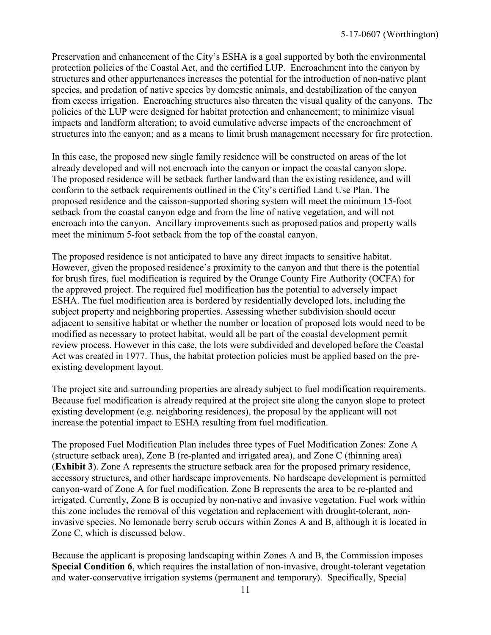Preservation and enhancement of the City's ESHA is a goal supported by both the environmental protection policies of the Coastal Act, and the certified LUP. Encroachment into the canyon by structures and other appurtenances increases the potential for the introduction of non-native plant species, and predation of native species by domestic animals, and destabilization of the canyon from excess irrigation. Encroaching structures also threaten the visual quality of the canyons. The policies of the LUP were designed for habitat protection and enhancement; to minimize visual impacts and landform alteration; to avoid cumulative adverse impacts of the encroachment of structures into the canyon; and as a means to limit brush management necessary for fire protection.

In this case, the proposed new single family residence will be constructed on areas of the lot already developed and will not encroach into the canyon or impact the coastal canyon slope. The proposed residence will be setback further landward than the existing residence, and will conform to the setback requirements outlined in the City's certified Land Use Plan. The proposed residence and the caisson-supported shoring system will meet the minimum 15-foot setback from the coastal canyon edge and from the line of native vegetation, and will not encroach into the canyon. Ancillary improvements such as proposed patios and property walls meet the minimum 5-foot setback from the top of the coastal canyon.

The proposed residence is not anticipated to have any direct impacts to sensitive habitat. However, given the proposed residence's proximity to the canyon and that there is the potential for brush fires, fuel modification is required by the Orange County Fire Authority (OCFA) for the approved project. The required fuel modification has the potential to adversely impact ESHA. The fuel modification area is bordered by residentially developed lots, including the subject property and neighboring properties. Assessing whether subdivision should occur adjacent to sensitive habitat or whether the number or location of proposed lots would need to be modified as necessary to protect habitat, would all be part of the coastal development permit review process. However in this case, the lots were subdivided and developed before the Coastal Act was created in 1977. Thus, the habitat protection policies must be applied based on the preexisting development layout.

The project site and surrounding properties are already subject to fuel modification requirements. Because fuel modification is already required at the project site along the canyon slope to protect existing development (e.g. neighboring residences), the proposal by the applicant will not increase the potential impact to ESHA resulting from fuel modification.

The proposed Fuel Modification Plan includes three types of Fuel Modification Zones: Zone A (structure setback area), Zone B (re-planted and irrigated area), and Zone C (thinning area) (**Exhibit 3**). Zone A represents the structure setback area for the proposed primary residence, accessory structures, and other hardscape improvements. No hardscape development is permitted canyon-ward of Zone A for fuel modification. Zone B represents the area to be re-planted and irrigated. Currently, Zone B is occupied by non-native and invasive vegetation. Fuel work within this zone includes the removal of this vegetation and replacement with drought-tolerant, noninvasive species. No lemonade berry scrub occurs within Zones A and B, although it is located in Zone C, which is discussed below.

Because the applicant is proposing landscaping within Zones A and B, the Commission imposes **Special Condition 6**, which requires the installation of non-invasive, drought-tolerant vegetation and water-conservative irrigation systems (permanent and temporary). Specifically, Special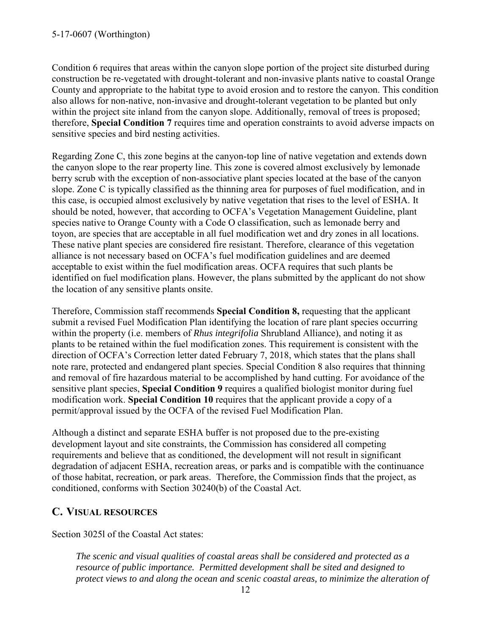Condition 6 requires that areas within the canyon slope portion of the project site disturbed during construction be re-vegetated with drought-tolerant and non-invasive plants native to coastal Orange County and appropriate to the habitat type to avoid erosion and to restore the canyon. This condition also allows for non-native, non-invasive and drought-tolerant vegetation to be planted but only within the project site inland from the canyon slope. Additionally, removal of trees is proposed; therefore, **Special Condition 7** requires time and operation constraints to avoid adverse impacts on sensitive species and bird nesting activities.

Regarding Zone C, this zone begins at the canyon-top line of native vegetation and extends down the canyon slope to the rear property line. This zone is covered almost exclusively by lemonade berry scrub with the exception of non-associative plant species located at the base of the canyon slope. Zone C is typically classified as the thinning area for purposes of fuel modification, and in this case, is occupied almost exclusively by native vegetation that rises to the level of ESHA. It should be noted, however, that according to OCFA's Vegetation Management Guideline, plant species native to Orange County with a Code O classification, such as lemonade berry and toyon, are species that are acceptable in all fuel modification wet and dry zones in all locations. These native plant species are considered fire resistant. Therefore, clearance of this vegetation alliance is not necessary based on OCFA's fuel modification guidelines and are deemed acceptable to exist within the fuel modification areas. OCFA requires that such plants be identified on fuel modification plans. However, the plans submitted by the applicant do not show the location of any sensitive plants onsite.

Therefore, Commission staff recommends **Special Condition 8,** requesting that the applicant submit a revised Fuel Modification Plan identifying the location of rare plant species occurring within the property (i.e. members of *Rhus integrifolia* Shrubland Alliance), and noting it as plants to be retained within the fuel modification zones. This requirement is consistent with the direction of OCFA's Correction letter dated February 7, 2018, which states that the plans shall note rare, protected and endangered plant species. Special Condition 8 also requires that thinning and removal of fire hazardous material to be accomplished by hand cutting. For avoidance of the sensitive plant species, **Special Condition 9** requires a qualified biologist monitor during fuel modification work. **Special Condition 10** requires that the applicant provide a copy of a permit/approval issued by the OCFA of the revised Fuel Modification Plan.

Although a distinct and separate ESHA buffer is not proposed due to the pre-existing development layout and site constraints, the Commission has considered all competing requirements and believe that as conditioned, the development will not result in significant degradation of adjacent ESHA, recreation areas, or parks and is compatible with the continuance of those habitat, recreation, or park areas. Therefore, the Commission finds that the project, as conditioned, conforms with Section 30240(b) of the Coastal Act.

### <span id="page-11-0"></span>**C. VISUAL RESOURCES**

Section 3025l of the Coastal Act states:

*The scenic and visual qualities of coastal areas shall be considered and protected as a resource of public importance. Permitted development shall be sited and designed to protect views to and along the ocean and scenic coastal areas, to minimize the alteration of*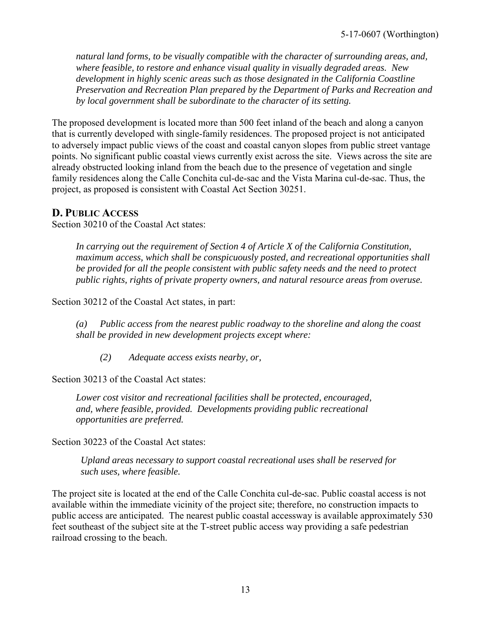*natural land forms, to be visually compatible with the character of surrounding areas, and, where feasible, to restore and enhance visual quality in visually degraded areas. New development in highly scenic areas such as those designated in the California Coastline Preservation and Recreation Plan prepared by the Department of Parks and Recreation and by local government shall be subordinate to the character of its setting.* 

The proposed development is located more than 500 feet inland of the beach and along a canyon that is currently developed with single-family residences. The proposed project is not anticipated to adversely impact public views of the coast and coastal canyon slopes from public street vantage points. No significant public coastal views currently exist across the site. Views across the site are already obstructed looking inland from the beach due to the presence of vegetation and single family residences along the Calle Conchita cul-de-sac and the Vista Marina cul-de-sac. Thus, the project, as proposed is consistent with Coastal Act Section 30251.

#### <span id="page-12-0"></span>**D. PUBLIC ACCESS**

Section 30210 of the Coastal Act states:

*In carrying out the requirement of Section 4 of Article X of the California Constitution, maximum access, which shall be conspicuously posted, and recreational opportunities shall be provided for all the people consistent with public safety needs and the need to protect public rights, rights of private property owners, and natural resource areas from overuse.* 

Section 30212 of the Coastal Act states, in part:

 *(a) Public access from the nearest public roadway to the shoreline and along the coast shall be provided in new development projects except where:* 

 *(2) Adequate access exists nearby, or,* 

Section 30213 of the Coastal Act states:

 *Lower cost visitor and recreational facilities shall be protected, encouraged, and, where feasible, provided. Developments providing public recreational opportunities are preferred.* 

Section 30223 of the Coastal Act states:

*Upland areas necessary to support coastal recreational uses shall be reserved for such uses, where feasible.* 

The project site is located at the end of the Calle Conchita cul-de-sac. Public coastal access is not available within the immediate vicinity of the project site; therefore, no construction impacts to public access are anticipated. The nearest public coastal accessway is available approximately 530 feet southeast of the subject site at the T-street public access way providing a safe pedestrian railroad crossing to the beach.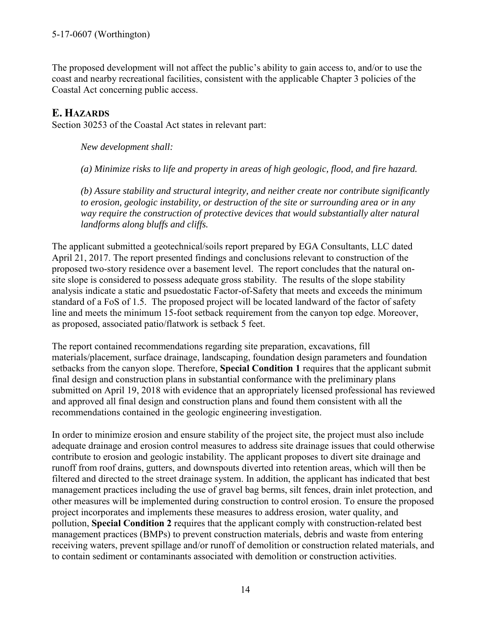The proposed development will not affect the public's ability to gain access to, and/or to use the coast and nearby recreational facilities, consistent with the applicable Chapter 3 policies of the Coastal Act concerning public access.

## <span id="page-13-0"></span>**E. HAZARDS**

Section 30253 of the Coastal Act states in relevant part:

*New development shall:* 

*(a) Minimize risks to life and property in areas of high geologic, flood, and fire hazard.* 

*(b) Assure stability and structural integrity, and neither create nor contribute significantly to erosion, geologic instability, or destruction of the site or surrounding area or in any way require the construction of protective devices that would substantially alter natural landforms along bluffs and cliffs.* 

The applicant submitted a geotechnical/soils report prepared by EGA Consultants, LLC dated April 21, 2017. The report presented findings and conclusions relevant to construction of the proposed two-story residence over a basement level. The report concludes that the natural onsite slope is considered to possess adequate gross stability. The results of the slope stability analysis indicate a static and psuedostatic Factor-of-Safety that meets and exceeds the minimum standard of a FoS of 1.5. The proposed project will be located landward of the factor of safety line and meets the minimum 15-foot setback requirement from the canyon top edge. Moreover, as proposed, associated patio/flatwork is setback 5 feet.

The report contained recommendations regarding site preparation, excavations, fill materials/placement, surface drainage, landscaping, foundation design parameters and foundation setbacks from the canyon slope. Therefore, **Special Condition 1** requires that the applicant submit final design and construction plans in substantial conformance with the preliminary plans submitted on April 19, 2018 with evidence that an appropriately licensed professional has reviewed and approved all final design and construction plans and found them consistent with all the recommendations contained in the geologic engineering investigation.

In order to minimize erosion and ensure stability of the project site, the project must also include adequate drainage and erosion control measures to address site drainage issues that could otherwise contribute to erosion and geologic instability. The applicant proposes to divert site drainage and runoff from roof drains, gutters, and downspouts diverted into retention areas, which will then be filtered and directed to the street drainage system. In addition, the applicant has indicated that best management practices including the use of gravel bag berms, silt fences, drain inlet protection, and other measures will be implemented during construction to control erosion. To ensure the proposed project incorporates and implements these measures to address erosion, water quality, and pollution, **Special Condition 2** requires that the applicant comply with construction-related best management practices (BMPs) to prevent construction materials, debris and waste from entering receiving waters, prevent spillage and/or runoff of demolition or construction related materials, and to contain sediment or contaminants associated with demolition or construction activities.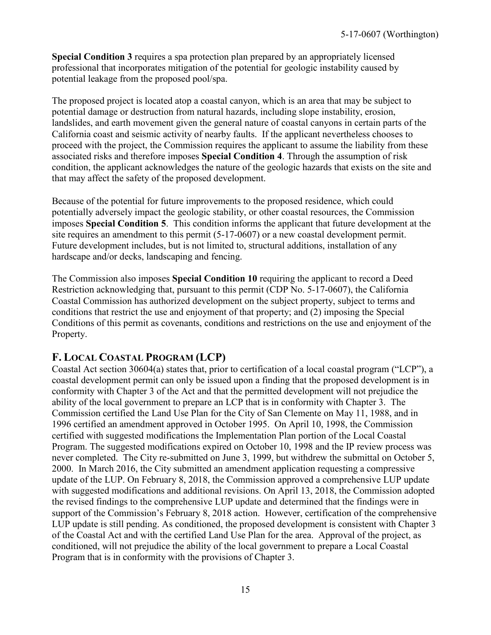**Special Condition 3** requires a spa protection plan prepared by an appropriately licensed professional that incorporates mitigation of the potential for geologic instability caused by potential leakage from the proposed pool/spa.

The proposed project is located atop a coastal canyon, which is an area that may be subject to potential damage or destruction from natural hazards, including slope instability, erosion, landslides, and earth movement given the general nature of coastal canyons in certain parts of the California coast and seismic activity of nearby faults. If the applicant nevertheless chooses to proceed with the project, the Commission requires the applicant to assume the liability from these associated risks and therefore imposes **Special Condition 4**. Through the assumption of risk condition, the applicant acknowledges the nature of the geologic hazards that exists on the site and that may affect the safety of the proposed development.

Because of the potential for future improvements to the proposed residence, which could potentially adversely impact the geologic stability, or other coastal resources, the Commission imposes **Special Condition 5**. This condition informs the applicant that future development at the site requires an amendment to this permit (5-17-0607) or a new coastal development permit. Future development includes, but is not limited to, structural additions, installation of any hardscape and/or decks, landscaping and fencing.

The Commission also imposes **Special Condition 10** requiring the applicant to record a Deed Restriction acknowledging that, pursuant to this permit (CDP No. 5-17-0607), the California Coastal Commission has authorized development on the subject property, subject to terms and conditions that restrict the use and enjoyment of that property; and (2) imposing the Special Conditions of this permit as covenants, conditions and restrictions on the use and enjoyment of the Property.

### <span id="page-14-0"></span>**F. LOCAL COASTAL PROGRAM (LCP)**

Coastal Act section 30604(a) states that, prior to certification of a local coastal program ("LCP"), a coastal development permit can only be issued upon a finding that the proposed development is in conformity with Chapter 3 of the Act and that the permitted development will not prejudice the ability of the local government to prepare an LCP that is in conformity with Chapter 3. The Commission certified the Land Use Plan for the City of San Clemente on May 11, 1988, and in 1996 certified an amendment approved in October 1995. On April 10, 1998, the Commission certified with suggested modifications the Implementation Plan portion of the Local Coastal Program. The suggested modifications expired on October 10, 1998 and the IP review process was never completed. The City re-submitted on June 3, 1999, but withdrew the submittal on October 5, 2000. In March 2016, the City submitted an amendment application requesting a compressive update of the LUP. On February 8, 2018, the Commission approved a comprehensive LUP update with suggested modifications and additional revisions. On April 13, 2018, the Commission adopted the revised findings to the comprehensive LUP update and determined that the findings were in support of the Commission's February 8, 2018 action. However, certification of the comprehensive LUP update is still pending. As conditioned, the proposed development is consistent with Chapter 3 of the Coastal Act and with the certified Land Use Plan for the area. Approval of the project, as conditioned, will not prejudice the ability of the local government to prepare a Local Coastal Program that is in conformity with the provisions of Chapter 3.